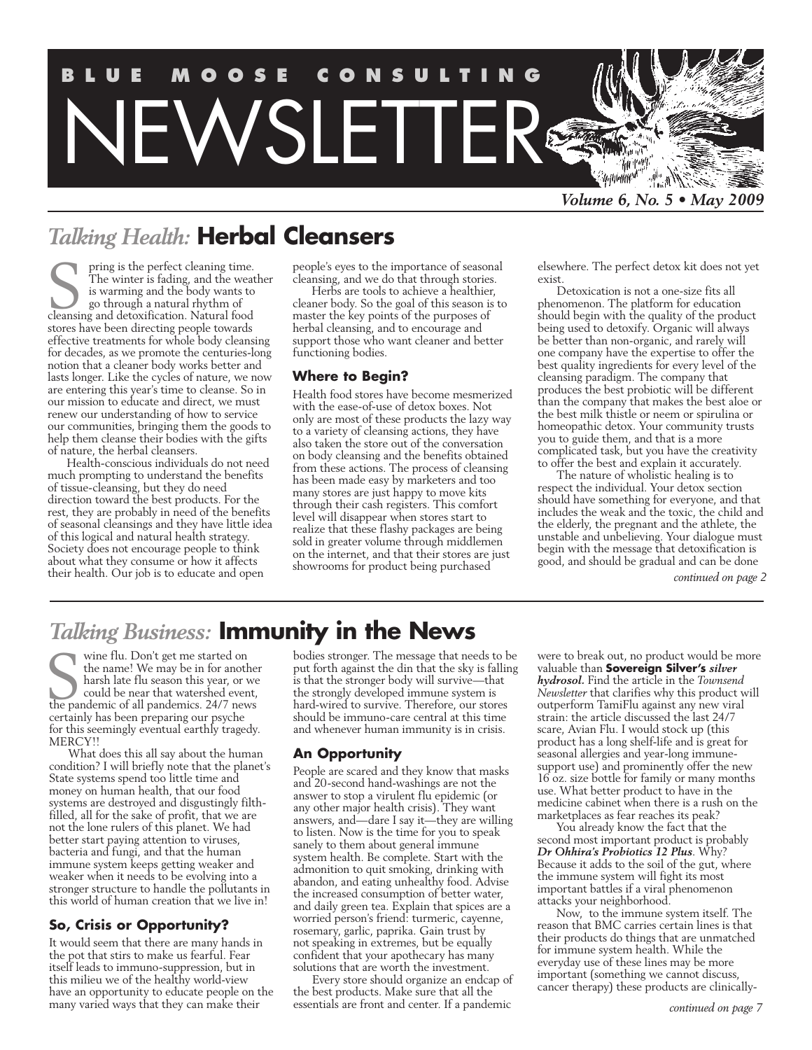

# *Talking Health:* **Herbal Cleansers**

pring is the perfect cleaning time. The winter is fading, and the weather is warming and the body wants to go through a natural rhythm of pring is the perfect cleaning time.<br>The winter is fading, and the weat<br>is warming and the body wants to<br>go through a natural rhythm of<br>cleansing and detoxification. Natural food stores have been directing people towards effective treatments for whole body cleansing for decades, as we promote the centuries-long notion that a cleaner body works better and lasts longer. Like the cycles of nature, we now are entering this year's time to cleanse. So in our mission to educate and direct, we must renew our understanding of how to service our communities, bringing them the goods to help them cleanse their bodies with the gifts of nature, the herbal cleansers.

Health-conscious individuals do not need much prompting to understand the benefits of tissue-cleansing, but they do need direction toward the best products. For the rest, they are probably in need of the benefits of seasonal cleansings and they have little idea of this logical and natural health strategy. Society does not encourage people to think about what they consume or how it affects their health. Our job is to educate and open

people's eyes to the importance of seasonal cleansing, and we do that through stories.

Herbs are tools to achieve a healthier, cleaner body. So the goal of this season is to master the key points of the purposes of herbal cleansing, and to encourage and support those who want cleaner and better functioning bodies.

#### **Where to Begin?**

Health food stores have become mesmerized with the ease-of-use of detox boxes. Not only are most of these products the lazy way to a variety of cleansing actions, they have also taken the store out of the conversation on body cleansing and the benefits obtained from these actions. The process of cleansing has been made easy by marketers and too many stores are just happy to move kits through their cash registers. This comfort level will disappear when stores start to realize that these flashy packages are being sold in greater volume through middlemen on the internet, and that their stores are just showrooms for product being purchased

elsewhere. The perfect detox kit does not yet exist.

Detoxication is not a one-size fits all phenomenon. The platform for education should begin with the quality of the product being used to detoxify. Organic will always be better than non-organic, and rarely will one company have the expertise to offer the best quality ingredients for every level of the cleansing paradigm. The company that produces the best probiotic will be different than the company that makes the best aloe or the best milk thistle or neem or spirulina or homeopathic detox. Your community trusts you to guide them, and that is a more complicated task, but you have the creativity to offer the best and explain it accurately.

The nature of wholistic healing is to respect the individual. Your detox section should have something for everyone, and that includes the weak and the toxic, the child and the elderly, the pregnant and the athlete, the unstable and unbelieving. Your dialogue must begin with the message that detoxification is good, and should be gradual and can be done

*continued on page 2*

# *Talking Business:* **Immunity in the News**

wine flu. Don't get me started on the name! We may be in for another harsh late flu season this year, or we could be near that watershed event, wine flu. Don't get me started on<br>the name! We may be in for another<br>harsh late flu season this year, or we<br>could be near that watershed event,<br>the pandemic of all pandemics. 24/7 news certainly has been preparing our psyche for this seemingly eventual earthly tragedy. MERCY!!

What does this all say about the human condition? I will briefly note that the planet's State systems spend too little time and money on human health, that our food systems are destroyed and disgustingly filthfilled, all for the sake of profit, that we are not the lone rulers of this planet. We had better start paying attention to viruses, bacteria and fungi, and that the human immune system keeps getting weaker and weaker when it needs to be evolving into a stronger structure to handle the pollutants in this world of human creation that we live in!

#### **So, Crisis or Opportunity?**

It would seem that there are many hands in the pot that stirs to make us fearful. Fear itself leads to immuno-suppression, but in this milieu we of the healthy world-view have an opportunity to educate people on the many varied ways that they can make their

bodies stronger. The message that needs to be put forth against the din that the sky is falling is that the stronger body will survive—that the strongly developed immune system is hard-wired to survive. Therefore, our stores should be immuno-care central at this time and whenever human immunity is in crisis.

#### **An Opportunity**

People are scared and they know that masks and 20-second hand-washings are not the answer to stop a virulent flu epidemic (or any other major health crisis). They want answers, and—dare I say it—they are willing to listen. Now is the time for you to speak sanely to them about general immune system health. Be complete. Start with the admonition to quit smoking, drinking with abandon, and eating unhealthy food. Advise the increased consumption of better water, and daily green tea. Explain that spices are a worried person's friend: turmeric, cayenne, rosemary, garlic, paprika. Gain trust by not speaking in extremes, but be equally confident that your apothecary has many solutions that are worth the investment.

Every store should organize an endcap of the best products. Make sure that all the essentials are front and center. If a pandemic

were to break out, no product would be more valuable than **Sovereign Silver's** *silver hydrosol.* Find the article in the *Townsend Newsletter* that clarifies why this product will outperform TamiFlu against any new viral strain: the article discussed the last 24/7 scare, Avian Flu. I would stock up (this product has a long shelf-life and is great for seasonal allergies and year-long immunesupport use) and prominently offer the new 16 oz. size bottle for family or many months use. What better product to have in the medicine cabinet when there is a rush on the marketplaces as fear reaches its peak?

You already know the fact that the second most important product is probably *Dr Ohhira's Probiotics 12 Plus*. Why? Because it adds to the soil of the gut, where the immune system will fight its most important battles if a viral phenomenon attacks your neighborhood.

Now, to the immune system itself. The reason that BMC carries certain lines is that their products do things that are unmatched for immune system health. While the everyday use of these lines may be more important (something we cannot discuss, cancer therapy) these products are clinically-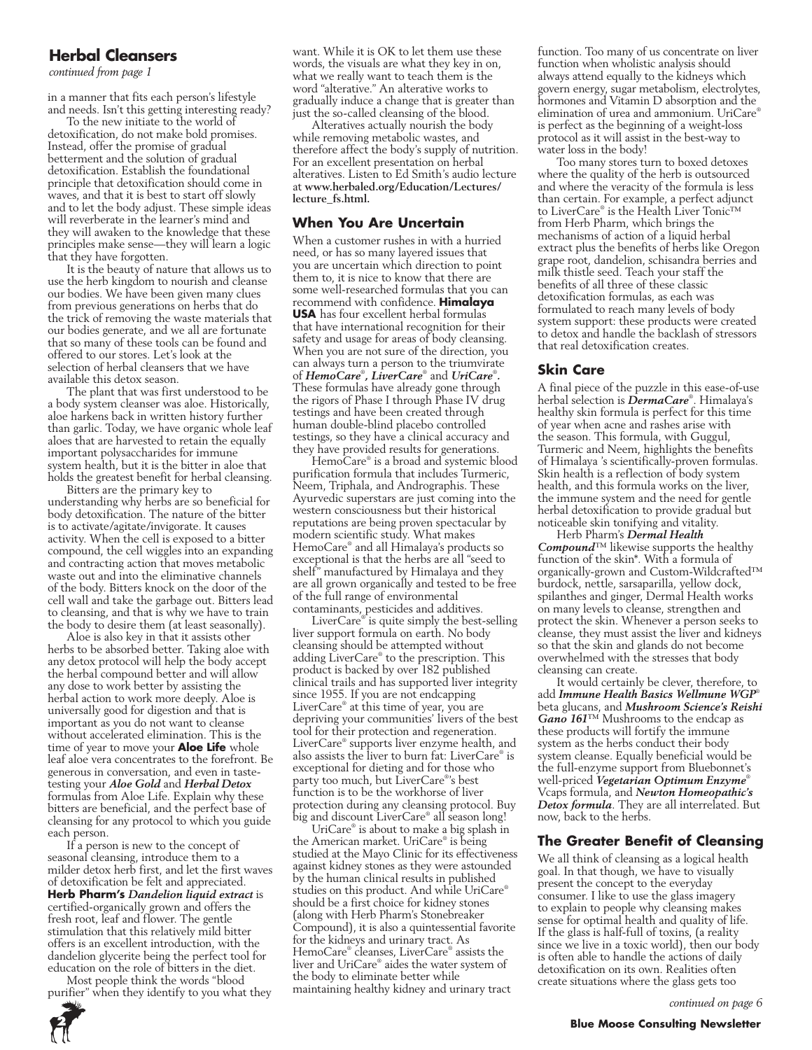#### **Herbal Cleansers**

*continued from page 1*

in a manner that fits each person's lifestyle and needs. Isn't this getting interesting ready?

To the new initiate to the world of detoxification, do not make bold promises. Instead, offer the promise of gradual betterment and the solution of gradual detoxification. Establish the foundational principle that detoxification should come in waves, and that it is best to start off slowly and to let the body adjust. These simple ideas will reverberate in the learner's mind and they will awaken to the knowledge that these principles make sense—they will learn a logic that they have forgotten.

It is the beauty of nature that allows us to use the herb kingdom to nourish and cleanse our bodies. We have been given many clues from previous generations on herbs that do the trick of removing the waste materials that our bodies generate, and we all are fortunate that so many of these tools can be found and offered to our stores. Let's look at the selection of herbal cleansers that we have available this detox season.

The plant that was first understood to be a body system cleanser was aloe. Historically, aloe harkens back in written history further than garlic. Today, we have organic whole leaf aloes that are harvested to retain the equally important polysaccharides for immune system health, but it is the bitter in aloe that holds the greatest benefit for herbal cleansing.

Bitters are the primary key to understanding why herbs are so beneficial for body detoxification. The nature of the bitter is to activate/agitate/invigorate. It causes activity. When the cell is exposed to a bitter compound, the cell wiggles into an expanding and contracting action that moves metabolic waste out and into the eliminative channels of the body. Bitters knock on the door of the cell wall and take the garbage out. Bitters lead to cleansing, and that is why we have to train the body to desire them (at least seasonally).

Aloe is also key in that it assists other herbs to be absorbed better. Taking aloe with any detox protocol will help the body accept the herbal compound better and will allow any dose to work better by assisting the herbal action to work more deeply. Aloe is universally good for digestion and that is important as you do not want to cleanse without accelerated elimination. This is the time of year to move your **Aloe Life** whole leaf aloe vera concentrates to the forefront. Be generous in conversation, and even in tastetesting your *Aloe Gold* and *Herbal Detox* formulas from Aloe Life. Explain why these bitters are beneficial, and the perfect base of cleansing for any protocol to which you guide each person.

If a person is new to the concept of seasonal cleansing, introduce them to a milder detox herb first, and let the first waves of detoxification be felt and appreciated. **Herb Pharm's** *Dandelion liquid extract* is certified-organically grown and offers the fresh root, leaf and flower. The gentle stimulation that this relatively mild bitter offers is an excellent introduction, with the dandelion glycerite being the perfect tool for education on the role of bitters in the diet.

Most people think the words "blood purifier" when they identify to you what they



want. While it is OK to let them use these words, the visuals are what they key in on, what we really want to teach them is the word "alterative." An alterative works to gradually induce a change that is greater than just the so-called cleansing of the blood.

Alteratives actually nourish the body while removing metabolic wastes, and therefore affect the body's supply of nutrition. For an excellent presentation on herbal alteratives. Listen to Ed Smith's audio lecture at **www.herbaled.org/Education/Lectures/ lecture\_fs.html.**

#### **When You Are Uncertain**

When a customer rushes in with a hurried need, or has so many layered issues that you are uncertain which direction to point them to, it is nice to know that there are some well-researched formulas that you can recommend with confidence. **Himalaya USA** has four excellent herbal formulas that have international recognition for their safety and usage for areas of body cleansing. When you are not sure of the direction, you can always turn a person to the triumvirate of *HemoCare*® *, LiverCare*® and *UriCare*® *.* These formulas have already gone through the rigors of Phase I through Phase IV drug testings and have been created through human double-blind placebo controlled testings, so they have a clinical accuracy and they have provided results for generations.

HemoCare® is a broad and systemic blood purification formula that includes Turmeric, Neem, Triphala, and Andrographis. These Ayurvedic superstars are just coming into the western consciousness but their historical reputations are being proven spectacular by modern scientific study. What makes HemoCare® and all Himalaya's products so exceptional is that the herbs are all "seed to shelf" manufactured by Himalaya and they are all grown organically and tested to be free of the full range of environmental contaminants, pesticides and additives.

LiverCare® is quite simply the best-selling liver support formula on earth. No body cleansing should be attempted without adding LiverCare® to the prescription. This product is backed by over 182 published clinical trails and has supported liver integrity since 1955. If you are not endcapping LiverCare® at this time of year, you are depriving your communities' livers of the best tool for their protection and regeneration. LiverCare® supports liver enzyme health, and also assists the liver to burn fat: LiverCare® is exceptional for dieting and for those who party too much, but LiverCare® 's best function is to be the workhorse of liver protection during any cleansing protocol. Buy big and discount LiverCare® all season long!

UriCare® is about to make a big splash in the American market. UriCare® is being studied at the Mayo Clinic for its effectiveness against kidney stones as they were astounded by the human clinical results in published studies on this product. And while UriCare® should be a first choice for kidney stones (along with Herb Pharm's Stonebreaker Compound), it is also a quintessential favorite for the kidneys and urinary tract. As HemoCare® cleanses, LiverCare® assists the liver and UriCare® aides the water system of the body to eliminate better while maintaining healthy kidney and urinary tract

function. Too many of us concentrate on liver function when wholistic analysis should always attend equally to the kidneys which govern energy, sugar metabolism, electrolytes, hormones and Vitamin D absorption and the elimination of urea and ammonium. UriCare® is perfect as the beginning of a weight-loss protocol as it will assist in the best-way to water loss in the body!

Too many stores turn to boxed detoxes where the quality of the herb is outsourced and where the veracity of the formula is less than certain. For example, a perfect adjunct to LiverCare® is the Health Liver Tonic™ from Herb Pharm, which brings the mechanisms of action of a liquid herbal extract plus the benefits of herbs like Oregon grape root, dandelion, schisandra berries and milk thistle seed. Teach your staff the benefits of all three of these classic detoxification formulas, as each was formulated to reach many levels of body system support: these products were created to detox and handle the backlash of stressors that real detoxification creates.

#### **Skin Care**

A final piece of the puzzle in this ease-of-use herbal selection is *DermaCare*® . Himalaya's healthy skin formula is perfect for this time of year when acne and rashes arise with the season. This formula, with Guggul, Turmeric and Neem, highlights the benefits of Himalaya 's scientifically-proven formulas. Skin health is a reflection of body system health, and this formula works on the liver, the immune system and the need for gentle herbal detoxification to provide gradual but noticeable skin tonifying and vitality.

Herb Pharm's *Dermal Health Compound*™ likewise supports the healthy function of the skin\*. With a formula of organically-grown and Custom-Wildcrafted™ burdock, nettle, sarsaparilla, yellow dock, spilanthes and ginger, Dermal Health works on many levels to cleanse, strengthen and protect the skin. Whenever a person seeks to cleanse, they must assist the liver and kidneys so that the skin and glands do not become overwhelmed with the stresses that body cleansing can create.

It would certainly be clever, therefore, to add *Immune Health Basics Wellmune WGP*® beta glucans, and *Mushroom Science's Reishi Gano 161*™ Mushrooms to the endcap as these products will fortify the immune system as the herbs conduct their body system cleanse. Equally beneficial would be the full-enzyme support from Bluebonnet's well-priced *Vegetarian Optimum Enzyme*® Vcaps formula, and *Newton Homeopathic's Detox formula*. They are all interrelated. But now, back to the herbs.

#### **The Greater Benefit of Cleansing**

We all think of cleansing as a logical health goal. In that though, we have to visually present the concept to the everyday consumer. I like to use the glass imagery to explain to people why cleansing makes sense for optimal health and quality of life. If the glass is half-full of toxins, (a reality since we live in a toxic world), then our body is often able to handle the actions of daily detoxification on its own. Realities often create situations where the glass gets too

*continued on page 6*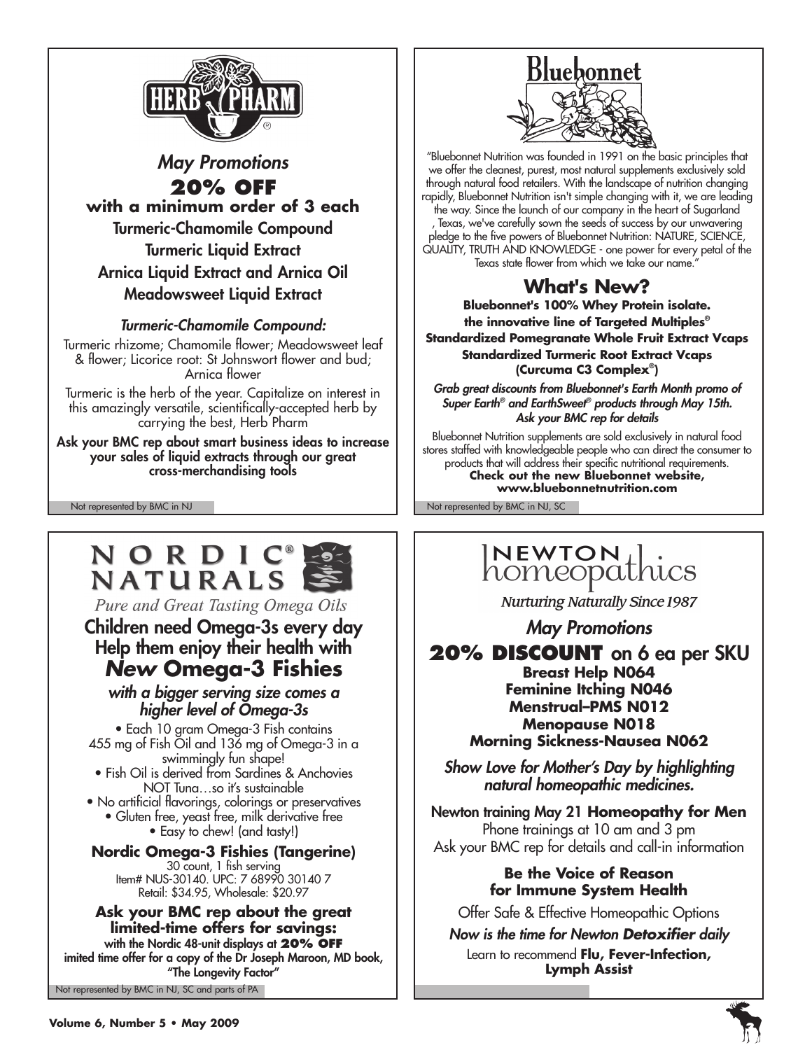

# *May Promotions* **20% off with a minimum order of 3 each** Turmeric-Chamomile Compound Turmeric Liquid Extract Arnica Liquid Extract and Arnica Oil Meadowsweet Liquid Extract

# *Turmeric-Chamomile Compound:*

Turmeric rhizome; Chamomile flower; Meadowsweet leaf & flower; Licorice root: St Johnswort flower and bud; Arnica flower

Turmeric is the herb of the year. Capitalize on interest in this amazingly versatile, scientifically-accepted herb by carrying the best, Herb Pharm

Ask your BMC rep about smart business ideas to increase your sales of liquid extracts through our great cross-merchandising tools

# NORDIC<sup>®</sup><br>NATURALS

Pure and Great Tasting Omega Oils

# Children need Omega-3s every day Help them enjoy their health with *New* **Omega-3 Fishies**

### *with a bigger serving size comes a higher level of Omega-3s*

• Each 10 gram Omega-3 Fish contains 455 mg of Fish Oil and 136 mg of Omega-3 in a swimmingly fun shape!

- Fish Oil is derived from Sardines & Anchovies NOT Tuna…so it's sustainable
- No artificial flavorings, colorings or preservatives • Gluten free, yeast free, milk derivative free

• Easy to chew! (and tasty!)

#### **Nordic Omega-3 Fishies (Tangerine)** 30 count, 1 fish serving Item# NUS-30140. UPC: 7 68990 30140 7 Retail: \$34.95, Wholesale: \$20.97

#### **Ask your BMC rep about the great limited-time offers for savings:**

Not represented by BMC in NJ, SC and parts of PA with the Nordic 48-unit displays at **20% off** imited time offer for a copy of the Dr Joseph Maroon, MD book, "The Longevity Factor"



"Bluebonnet Nutrition was founded in 1991 on the basic principles that we offer the cleanest, purest, most natural supplements exclusively sold through natural food retailers. With the landscape of nutrition changing rapidly, Bluebonnet Nutrition isn't simple changing with it, we are leading the way. Since the launch of our company in the heart of Sugarland Texas, we've carefully sown the seeds of success by our unwavering pledge to the five powers of Bluebonnet Nutrition: NATURE, SCIENCE, QUALITY, TRUTH AND KNOWLEDGE - one power for every petal of the Texas state flower from which we take our name."

# **What's New?**

**Bluebonnet's 100% Whey Protein isolate. the innovative line of Targeted Multiples® Standardized Pomegranate Whole Fruit Extract Vcaps Standardized Turmeric Root Extract Vcaps (Curcuma C3 Complex® )**

*Grab great discounts from Bluebonnet's Earth Month promo of Super Earth® and EarthSweet® products through May 15th. Ask your BMC rep for details*

Bluebonnet Nutrition supplements are sold exclusively in natural food stores staffed with knowledgeable people who can direct the consumer to products that will address their specific nutritional requirements. **Check out the new Bluebonnet website, www.bluebonnetnutrition.com**

Not represented by BMC in NJ Not represented by BMC in NJ, SC

# INEWTON 1.

**Nurturing Naturally Since 1987** 

*May Promotions*

20% **DISCOUNT** on 6 ea per SKU **Breast Help N064 Feminine Itching N046 Menstrual–PMS N012 Menopause N018 Morning Sickness-Nausea N062**

*Show Love for Mother's Day by highlighting natural homeopathic medicines.*

Newton training May 21 **Homeopathy for Men** Phone trainings at 10 am and 3 pm Ask your BMC rep for details and call-in information

# **Be the Voice of Reason for Immune System Health**

Offer Safe & Effective Homeopathic Options

*Now is the time for Newton Detoxifier daily* Learn to recommend **Flu, Fever-Infection, Lymph Assist**

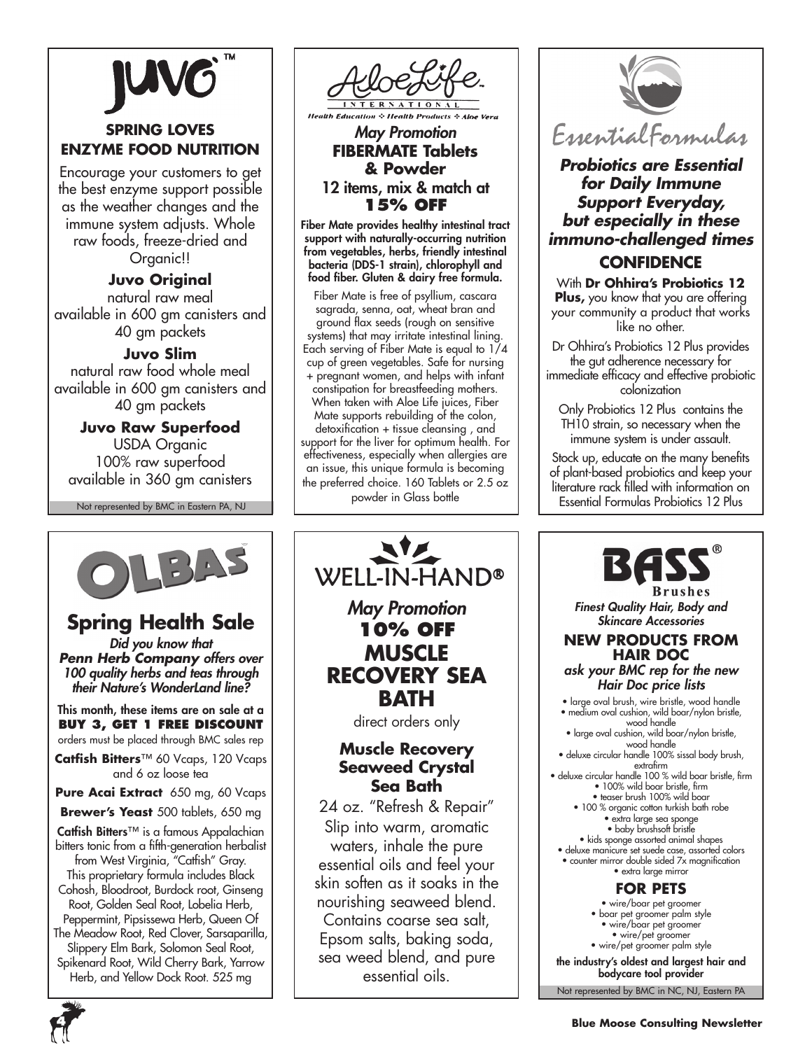# **Spring Loves Enzyme Food Nutrition**

Encourage your customers to get the best enzyme support possible as the weather changes and the immune system adjusts. Whole raw foods, freeze-dried and Organic!!

# **Juvo Original**

natural raw meal available in 600 gm canisters and 40 gm packets

#### **Juvo Slim**

natural raw food whole meal available in 600 gm canisters and 40 gm packets

### **Juvo Raw Superfood**

USDA Organic 100% raw superfood available in 360 gm canisters

Not represented by BMC in Eastern PA, NJ



**Health Products + Aloe** 

#### *May Promotion* **FIBERMATE Tablets & Powder**  12 items, mix & match at **15% off**

Fiber Mate provides healthy intestinal tract support with naturally-occurring nutrition from vegetables, herbs, friendly intestinal bacteria (DDS-1 strain), chlorophyll and food fiber. Gluten & dairy free formula.

Fiber Mate is free of psyllium, cascara sagrada, senna, oat, wheat bran and ground flax seeds (rough on sensitive systems) that may irritate intestinal lining. Each serving of Fiber Mate is equal to 1/4 cup of green vegetables. Safe for nursing + pregnant women, and helps with infant constipation for breastfeeding mothers. When taken with Aloe Life juices, Fiber Mate supports rebuilding of the colon, detoxification + tissue cleansing , and support for the liver for optimum health. For effectiveness, especially when allergies are an issue, this unique formula is becoming the preferred choice. 160 Tablets or 2.5 oz powder in Glass bottle



# *Probiotics are Essential for Daily Immune Support Everyday, but especially in these immuno-challenged times* **Confidence**

With **Dr Ohhira's Probiotics 12 Plus,** you know that you are offering your community a product that works like no other.

Dr Ohhira's Probiotics 12 Plus provides the gut adherence necessary for immediate efficacy and effective probiotic colonization

Only Probiotics 12 Plus contains the TH10 strain, so necessary when the immune system is under assault.

Stock up, educate on the many benefits of plant-based probiotics and keep your literature rack filled with information on Essential Formulas Probiotics 12 Plus



# **Spring Health Sale**

*Did you know that Penn Herb Company offers over 100 quality herbs and teas through their Nature's WonderLand line?*

#### This month, these items are on sale at a **Buy 3, Get 1 free discount** orders must be placed through BMC sales rep

**Catfish Bitters**™ 60 Vcaps, 120 Vcaps and 6 oz loose tea

**Pure Acai Extract** 650 mg, 60 Vcaps

**Brewer's Yeast** 500 tablets, 650 mg

Catfish Bitters™ is a famous Appalachian bitters tonic from a fifth-generation herbalist from West Virginia, "Catfish" Gray. This proprietary formula includes Black Cohosh, Bloodroot, Burdock root, Ginseng Root, Golden Seal Root, Lobelia Herb, Peppermint, Pipsissewa Herb, Queen Of The Meadow Root, Red Clover, Sarsaparilla,

Slippery Elm Bark, Solomon Seal Root, Spikenard Root, Wild Cherry Bark, Yarrow



# WELL-IN-HAND® *May Promotion* **10% off MUSCLE RECOVERY SEA BATH**

direct orders only

# **Muscle Recovery Seaweed Crystal Sea Bath**

24 oz. "Refresh & Repair" Slip into warm, aromatic waters, inhale the pure essential oils and feel your skin soften as it soaks in the nourishing seaweed blend. Contains coarse sea salt, Epsom salts, baking soda, sea weed blend, and pure essential oils.



**Brushes** *Finest Quality Hair, Body and Skincare Accessories*

#### **New Products from Hair Doc**

*ask your BMC rep for the new Hair Doc price lists*

- large oval brush, wire bristle, wood handle • medium oval cushion, wild boar/nylon bristle,
- wood handle • large oval cushion, wild boar/nylon bristle,
- wood handle • deluxe circular handle 100% sissal body brush, extrafirm
- deluxe circular handle 100 % wild boar bristle, firm • 100% wild boar bristle, firm • teaser brush 100% wild boar
	- 100 % organic cotton turkish bath robe
		- extra large sea sponge • baby brushsoft bristle
- kids sponge assorted animal shapes • deluxe manicure set suede case, assorted colors
- counter mirror double sided 7x magnification • extra large mirror

# **for pets**

• wire/boar pet groomer • boar pet groomer palm style • wire/boar pet groomer • wire/pet groomer • wire/pet groomer palm style the industry's oldest and largest hair and bodycare tool provider

Not represented by BMC in NC, NJ, Eastern PA

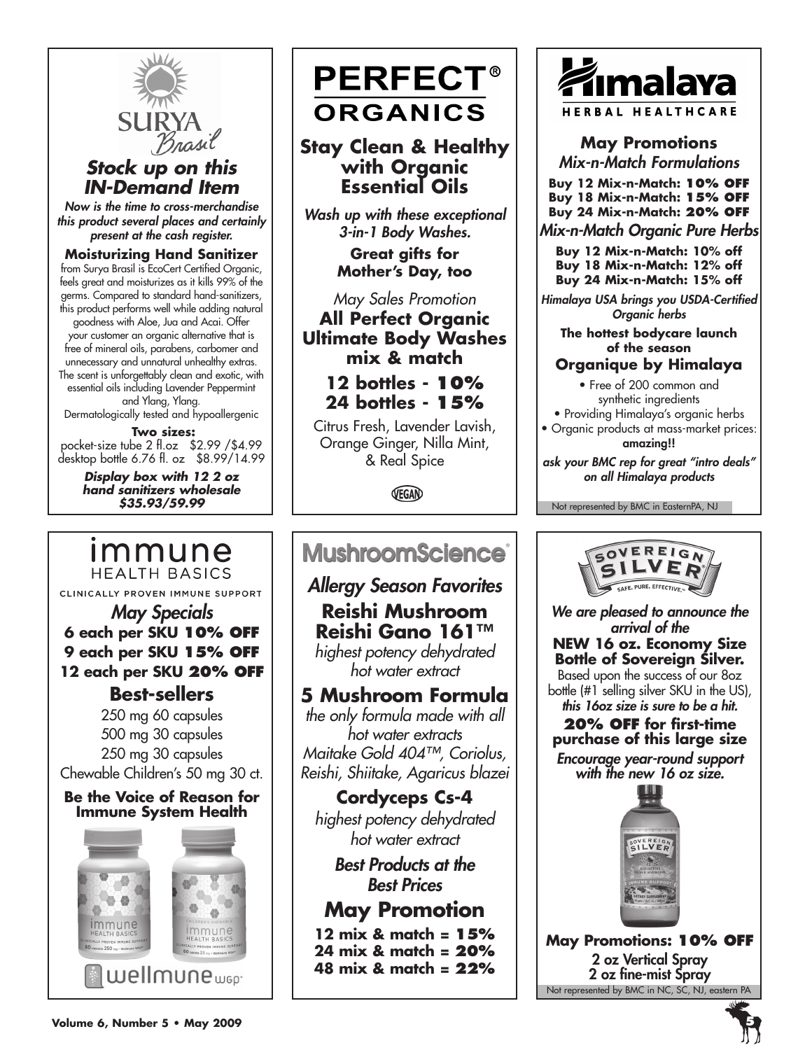

# *Stock up on this IN-Demand Item*

*Now is the time to cross-merchandise this product several places and certainly present at the cash register.*

#### **Moisturizing Hand Sanitizer**

from Surya Brasil is EcoCert Certified Organic, feels great and moisturizes as it kills 99% of the germs. Compared to standard hand-sanitizers, this product performs well while adding natural goodness with Aloe, Jua and Acai. Offer your customer an organic alternative that is free of mineral oils, parabens, carbomer and unnecessary and unnatural unhealthy extras. The scent is unforgettably clean and exotic, with essential oils including Lavender Peppermint and Ylang, Ylang. Dermatologically tested and hypoallergenic

 **Two sizes:** pocket-size tube 2 fl.oz \$2.99 /\$4.99 desktop bottle 6.76 fl. oz \$8.99/14.99

> *Display box with 12 2 oz hand sanitizers wholesale \$35.93/59.99*

# immune **HEALTH BASICS**

CLINICALLY PROVEN IMMUNE SUPPORT

# *May Specials* **6 each per SKU 10% off 9 each per SKU 15% off 12 each per SKU 20% off**

# **Best-sellers**

250 mg 60 capsules 500 mg 30 capsules 250 mg 30 capsules Chewable Children's 50 mg 30 ct.

#### **Be the Voice of Reason for Immune System Health**



# **PERFECT® ORGANICS**

**Stay Clean & Healthy with Organic Essential Oils**

*Wash up with these exceptional 3-in-1 Body Washes.* 

> **Great gifts for Mother's Day, too**

*May Sales Promotion* **All Perfect Organic Ultimate Body Washes mix & match**

**12 bottles - 10% 24 bottles - 15%**

Citrus Fresh, Lavender Lavish, Orange Ginger, Nilla Mint, & Real Spice

VEGAN

# **MushroomScience®**

*Allergy Season Favorites* **Reishi Mushroom Reishi Gano 161™** *highest potency dehydrated* 

*hot water extract*

# **5 Mushroom Formula**

*the only formula made with all hot water extracts Maitake Gold 404™, Coriolus, Reishi, Shiitake, Agaricus blazei*

**Cordyceps Cs-4** *highest potency dehydrated hot water extract*

> *Best Products at the Best Prices*

# **May Promotion**

**12 mix & match = 15% 24 mix & match = 20% 48 mix & match = 22%**



# **May Promotions** *Mix-n-Match Formulations*

**Buy 12 Mix-n-Match: 10% off Buy 18 Mix-n-Match: 15% off Buy 24 Mix-n-Match: 20% off**

*Mix-n-Match Organic Pure Herbs*

**Buy 12 Mix-n-Match: 10% off Buy 18 Mix-n-Match: 12% off Buy 24 Mix-n-Match: 15% off** 

*Himalaya USA brings you USDA-Certified Organic herbs* 

**The hottest bodycare launch of the season**

# **Organique by Himalaya**

• Free of 200 common and synthetic ingredients

• Providing Himalaya's organic herbs • Organic products at mass-market prices:

amazing!!

*ask your BMC rep for great "intro deals" on all Himalaya products*

Not represented by BMC in EasternPA, NJ



*We are pleased to announce the arrival of the*  **NEW 16 oz. Economy Size** 

**Bottle of Sovereign Silver.** Based upon the success of our 8oz bottle (#1 selling silver SKU in the US), *this 16oz size is sure to be a hit.* 

**20% off for first-time purchase of this large size**  *Encourage year-round support with the new 16 oz size.*



Not represented by BMC in NC, SC, NJ, eastern PA **May Promotions: 10% off** 2 oz Vertical Spray 2 oz fine-mist Spray

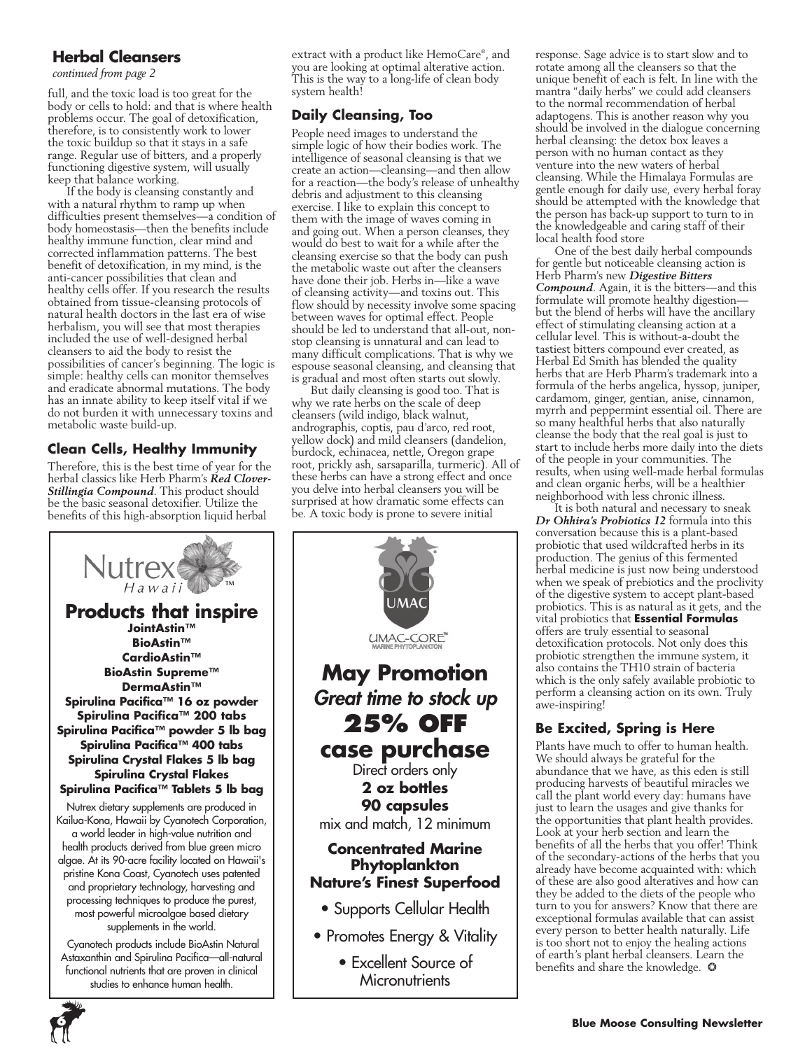# **Herbal Cleansers**

*continued from page 2*

full, and the toxic load is too great for the body or cells to hold: and that is where health problems occur. The goal of detoxification, therefore, is to consistently work to lower the toxic buildup so that it stays in a safe range. Regular use of bitters, and a properly functioning digestive system, will usually keep that balance working.

If the body is cleansing constantly and with a natural rhythm to ramp up when difficulties present themselves—a condition of body homeostasis—then the benefits include healthy immune function, clear mind and corrected inflammation patterns. The best benefit of detoxification, in my mind, is the anti-cancer possibilities that clean and healthy cells offer. If you research the results obtained from tissue-cleansing protocols of natural health doctors in the last era of wise herbalism, you will see that most therapies included the use of well-designed herbal cleansers to aid the body to resist the possibilities of cancer's beginning. The logic is simple: healthy cells can monitor themselves and eradicate abnormal mutations. The body has an innate ability to keep itself vital if we do not burden it with unnecessary toxins and metabolic waste build-up.

# **Clean Cells, Healthy Immunity**

Therefore, this is the best time of year for the herbal classics like Herb Pharm's *Red Clover-Stillingia Compound*. This product should be the basic seasonal detoxifier. Utilize the benefits of this high-absorption liquid herbal



 Cyanotech products include BioAstin Natural Astaxanthin and Spirulina Pacifica—all-natural functional nutrients that are proven in clinical studies to enhance human health.

extract with a product like HemoCare® , and you are looking at optimal alterative action. This is the way to a long-life of clean body system health!

# **Daily Cleansing, Too**

People need images to understand the simple logic of how their bodies work. The intelligence of seasonal cleansing is that we create an action—cleansing—and then allow for a reaction—the body's release of unhealthy debris and adjustment to this cleansing exercise. I like to explain this concept to them with the image of waves coming in and going out. When a person cleanses, they would do best to wait for a while after the cleansing exercise so that the body can push the metabolic waste out after the cleansers have done their job. Herbs in—like a wave of cleansing activity—and toxins out. This flow should by necessity involve some spacing between waves for optimal effect. People should be led to understand that all-out, nonstop cleansing is unnatural and can lead to many difficult complications. That is why we espouse seasonal cleansing, and cleansing that is gradual and most often starts out slowly.

But daily cleansing is good too. That is why we rate herbs on the scale of deep cleansers (wild indigo, black walnut, andrographis, coptis, pau d'arco, red root, yellow dock) and mild cleansers (dandelion, burdock, echinacea, nettle, Oregon grape root, prickly ash, sarsaparilla, turmeric). All of these herbs can have a strong effect and once you delve into herbal cleansers you will be surprised at how dramatic some effects can be. A toxic body is prone to severe initial



response. Sage advice is to start slow and to rotate among all the cleansers so that the unique benefit of each is felt. In line with the mantra "daily herbs" we could add cleansers to the normal recommendation of herbal adaptogens. This is another reason why you should be involved in the dialogue concerning herbal cleansing: the detox box leaves a person with no human contact as they venture into the new waters of herbal cleansing. While the Himalaya Formulas are gentle enough for daily use, every herbal foray should be attempted with the knowledge that the person has back-up support to turn to in the knowledgeable and caring staff of their local health food store

One of the best daily herbal compounds for gentle but noticeable cleansing action is Herb Pharm's new *Digestive Bitters Compound*. Again, it is the bitters—and this formulate will promote healthy digestion but the blend of herbs will have the ancillary effect of stimulating cleansing action at a cellular level. This is without-a-doubt the tastiest bitters compound ever created, as Herbal Ed Smith has blended the quality herbs that are Herb Pharm's trademark into a formula of the herbs angelica, hyssop, juniper, cardamom, ginger, gentian, anise, cinnamon, myrrh and peppermint essential oil. There are so many healthful herbs that also naturally cleanse the body that the real goal is just to start to include herbs more daily into the diets of the people in your communities. The results, when using well-made herbal formulas and clean organic herbs, will be a healthier neighborhood with less chronic illness.

It is both natural and necessary to sneak *Dr Ohhira's Probiotics 12* formula into this conversation because this is a plant-based probiotic that used wildcrafted herbs in its production. The genius of this fermented herbal medicine is just now being understood when we speak of prebiotics and the proclivity of the digestive system to accept plant-based probiotics. This is as natural as it gets, and the vital probiotics that **Essential Formulas** offers are truly essential to seasonal detoxification protocols. Not only does this probiotic strengthen the immune system, it also contains the TH10 strain of bacteria which is the only safely available probiotic to perform a cleansing action on its own. Truly awe-inspiring!

### **Be Excited, Spring is Here**

Plants have much to offer to human health. We should always be grateful for the abundance that we have, as this eden is still producing harvests of beautiful miracles we call the plant world every day: humans have just to learn the usages and give thanks for the opportunities that plant health provides. Look at your herb section and learn the benefits of all the herbs that you offer! Think of the secondary-actions of the herbs that you already have become acquainted with: which of these are also good alteratives and how can they be added to the diets of the people who turn to you for answers? Know that there are exceptional formulas available that can assist every person to better health naturally. Life is too short not to enjoy the healing actions of earth's plant herbal cleansers. Learn the benefits and share the knowledge.  $\bullet$ 

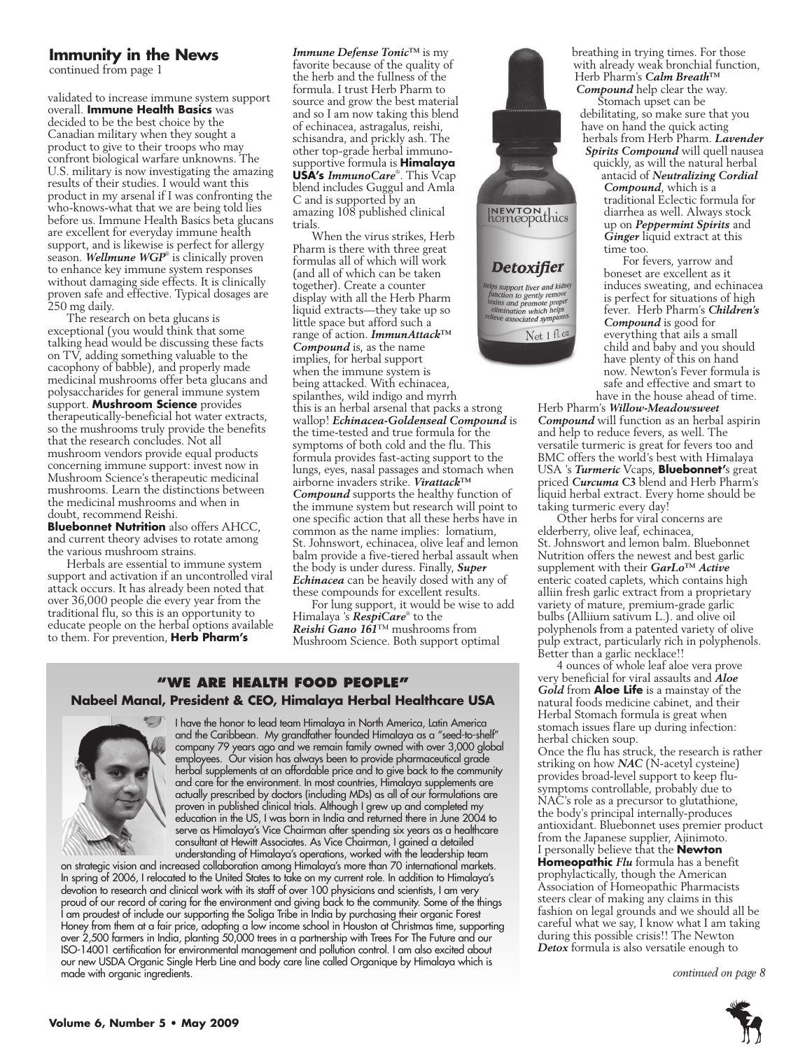#### **Immunity in the News**

continued from page 1

validated to increase immune system support overall. **Immune Health Basics** was decided to be the best choice by the Canadian military when they sought a product to give to their troops who may confront biological warfare unknowns. The U.S. military is now investigating the amazing results of their studies. I would want this product in my arsenal if I was confronting the who-knows-what that we are being told lies before us. Immune Health Basics beta glucans are excellent for everyday immune health support, and is likewise is perfect for allergy season. *Wellmune WGP*® is clinically proven to enhance key immune system responses without damaging side effects. It is clinically proven safe and effective. Typical dosages are 250 mg daily.

The research on beta glucans is exceptional (you would think that some talking head would be discussing these facts on TV, adding something valuable to the cacophony of babble), and properly made medicinal mushrooms offer beta glucans and polysaccharides for general immune system support. **Mushroom Science** provides therapeutically-beneficial hot water extracts, so the mushrooms truly provide the benefits that the research concludes. Not all mushroom vendors provide equal products concerning immune support: invest now in Mushroom Science's therapeutic medicinal mushrooms. Learn the distinctions between the medicinal mushrooms and when in doubt, recommend Reishi.

**Bluebonnet Nutrition** also offers AHCC, and current theory advises to rotate among the various mushroom strains.

Herbals are essential to immune system support and activation if an uncontrolled viral attack occurs. It has already been noted that over 36,000 people die every year from the traditional flu, so this is an opportunity to educate people on the herbal options available to them. For prevention, **Herb Pharm's** 

*Immune Defense Tonic™* is my favorite because of the quality of the herb and the fullness of the formula. I trust Herb Pharm to source and grow the best material and so I am now taking this blend of echinacea, astragalus, reishi, schisandra, and prickly ash. The other top-grade herbal immunosupportive formula is **Himalaya USA's** *ImmunoCare*® . This Vcap blend includes Guggul and Amla C and is supported by an amazing 108 published clinical trials.

When the virus strikes, Herb Pharm is there with three great formulas all of which will work (and all of which can be taken together). Create a counter display with all the Herb Pharm liquid extracts—they take up so little space but afford such a range of action. *ImmunAttack™ Compound* is, as the name implies, for herbal support when the immune system is being attacked. With echinacea, spilanthes, wild indigo and myrrh this is an herbal arsenal that packs a strong wallop! *Echinacea-Goldenseal Compound* is the time-tested and true formula for the symptoms of both cold and the flu. This formula provides fast-acting support to the lungs, eyes, nasal passages and stomach when airborne invaders strike. *Virattack™ Compound* supports the healthy function of the immune system but research will point to one specific action that all these herbs have in common as the name implies: lomatium, St. Johnswort, echinacea, olive leaf and lemon balm provide a five-tiered herbal assault when the body is under duress. Finally, *Super Echinacea* can be heavily dosed with any of these compounds for excellent results.

For lung support, it would be wise to add Himalaya 's *RespiCare*® to the *Reishi Gano 161*™ mushrooms from Mushroom Science. Both support optimal

#### **"We Are health food people" Nabeel Manal, President & CEO, Himalaya Herbal Healthcare USA**



I have the honor to lead team Himalaya in North America, Latin America and the Caribbean. My grandfather founded Himalaya as a "seed-to-shelf" company 79 years ago and we remain family owned with over 3,000 global employees. Our vision has always been to provide pharmaceutical grade herbal supplements at an affordable price and to give back to the community and care for the environment. In most countries, Himalaya supplements are actually prescribed by doctors (including MDs) as all of our formulations are proven in published clinical trials. Although I grew up and completed my education in the US, I was born in India and returned there in June 2004 to serve as Himalaya's Vice Chairman after spending six years as a healthcare consultant at Hewitt Associates. As Vice Chairman, I gained a detailed understanding of Himalaya's operations, worked with the leadership team

on strategic vision and increased collaboration among Himalaya's more than 70 international markets. In spring of 2006, I relocated to the United States to take on my current role. In addition to Himalaya's devotion to research and clinical work with its staff of over 100 physicians and scientists, I am very proud of our record of caring for the environment and giving back to the community. Some of the things I am proudest of include our supporting the Soliga Tribe in India by purchasing their organic Forest Honey from them at a fair price, adopting a low income school in Houston at Christmas time, supporting over 2,500 farmers in India, planting 50,000 trees in a partnership with Trees For The Future and our ISO-14001 certification for environmental management and pollution control. I am also excited about our new USDA Organic Single Herb Line and body care line called Organique by Himalaya which is made with organic ingredients.



breathing in trying times. For those with already weak bronchial function, Herb Pharm's *Calm Breath™ Compound* help clear the way.

Stomach upset can be debilitating, so make sure that you have on hand the quick acting herbals from Herb Pharm. *Lavender Spirits Compound* will quell nausea quickly, as will the natural herbal

antacid of *Neutralizing Cordial Compound*, which is a traditional Eclectic formula for diarrhea as well. Always stock up on *Peppermint Spirits* and *Ginger* liquid extract at this time too.

For fevers, yarrow and boneset are excellent as it induces sweating, and echinacea is perfect for situations of high fever. Herb Pharm's *Children's Compound* is good for everything that ails a small child and baby and you should have plenty of this on hand now. Newton's Fever formula is safe and effective and smart to have in the house ahead of time.

Herb Pharm's *Willow-Meadowsweet Compound* will function as an herbal aspirin and help to reduce fevers, as well. The versatile turmeric is great for fevers too and BMC offers the world's best with Himalaya USA 's *Turmeric* Vcaps, **Bluebonnet'**s great priced *Curcuma C3* blend and Herb Pharm's liquid herbal extract. Every home should be taking turmeric every day!

Other herbs for viral concerns are elderberry, olive leaf, echinacea, St. Johnswort and lemon balm. Bluebonnet Nutrition offers the newest and best garlic supplement with their *GarLo™ Active* enteric coated caplets, which contains high alliin fresh garlic extract from a proprietary variety of mature, premium-grade garlic bulbs (Alliium sativum L.). and olive oil polyphenols from a patented variety of olive pulp extract, particularly rich in polyphenols. Better than a garlic necklace!!

4 ounces of whole leaf aloe vera prove very beneficial for viral assaults and *Aloe Gold* from **Aloe Life** is a mainstay of the natural foods medicine cabinet, and their Herbal Stomach formula is great when stomach issues flare up during infection: herbal chicken soup.

Once the flu has struck, the research is rather striking on how **NAC** (N-acetyl cysteine) provides broad-level support to keep flusymptoms controllable, probably due to NAC's role as a precursor to glutathione, the body's principal internally-produces antioxidant. Bluebonnet uses premier product from the Japanese supplier, Ajinimoto. I personally believe that the **Newton Homeopathic** *Flu* formula has a benefit prophylactically, though the American Association of Homeopathic Pharmacists steers clear of making any claims in this fashion on legal grounds and we should all be careful what we say, I know what I am taking during this possible crisis!! The Newton *Detox* formula is also versatile enough to

*continued on page 8*